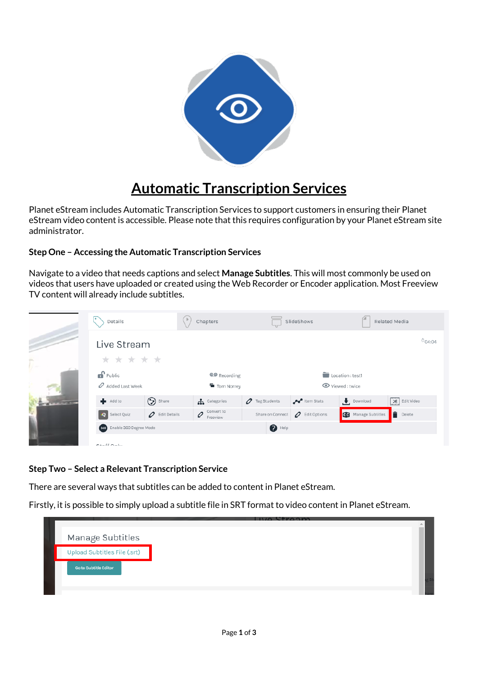

## **Automatic Transcription Services**

Planet eStream includes Automatic Transcription Services to support customers in ensuring their Planet eStream video content is accessible. Please note that this requires configuration by your Planet eStream site administrator.

## **Step One – Accessing the Automatic Transcription Services**

Navigate to a video that needs captions and select **Manage Subtitles**. This will most commonly be used on videos that users have uploaded or created using the Web Recorder or Encoder application. Most Freeview TV content will already include subtitles.

|                          | Details                      |                           | Chapters                          |                           | SlideShows                | Related Media              |                    |
|--------------------------|------------------------------|---------------------------|-----------------------------------|---------------------------|---------------------------|----------------------------|--------------------|
|                          | Live Stream                  |                           |                                   |                           |                           |                            | <sup>O</sup> 04:04 |
| ÷<br>U —                 | * * * * *                    |                           |                                   |                           |                           |                            |                    |
|                          | $\mathbf{f}$ Public          |                           | <b>@@</b> Recording               |                           |                           | Location : test1           |                    |
|                          | $\mathscr O$ Added Last Week |                           | Tom Norrey                        |                           |                           | Viewed: twice              |                    |
| <b>PERSONAL PROPERTY</b> | $\blacksquare$ Add to        | Share                     | <b>A</b> Categories               | $\mathcal O$ Tag Students | Item Stats                | Download                   | $58$ Edit Video    |
|                          | <b>Q</b> Select Quiz         | $\mathcal O$ Edit Details | Convert to<br>$\infty$ Convert to | Share on Connect          | $\mathcal O$ Edit Options | <b>CC</b> Manage Subtitles | $\Box$ Delete      |
|                          | 360 Enable 360 Degree Mode   |                           |                                   | $\bigcirc$ Help           |                           |                            |                    |
|                          | $C + c$ ff $C$ $c$ $b$ $c$   |                           |                                   |                           |                           |                            |                    |

## **Step Two – Select a Relevant Transcription Service**

There are several ways that subtitles can be added to content in Planet eStream.

Firstly, it is possible to simply upload a subtitle file in SRT format to video content in Planet eStream.

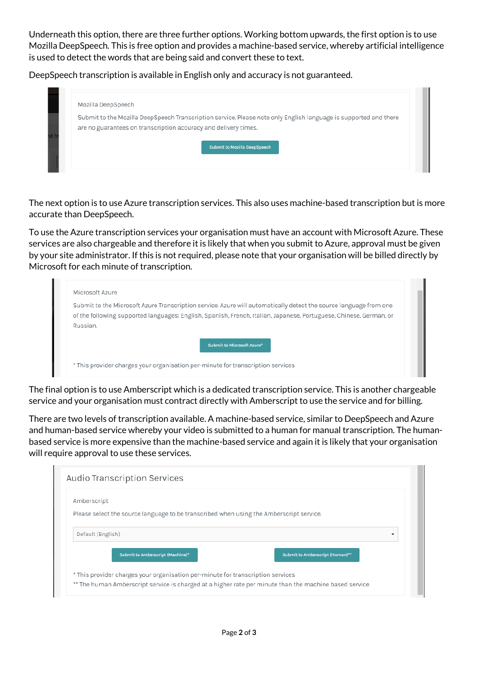Underneath this option, there are three further options. Working bottom upwards, the first option is to use Mozilla DeepSpeech. This is free option and provides a machine-based service, whereby artificial intelligence is used to detect the words that are being said and convert these to text.

DeepSpeech transcription is available in English only and accuracy is not guaranteed.

| Submit to the Mozilla DeepSpeech Transcription service. Please note only English language is supported and there |
|------------------------------------------------------------------------------------------------------------------|
| are no guarantees on transcription accuracy and delivery times.                                                  |
|                                                                                                                  |
|                                                                                                                  |

The next option is to use Azure transcription services. This also uses machine-based transcription but is more accurate than DeepSpeech.

To use the Azure transcription services your organisation must have an account with Microsoft Azure. These services are also chargeable and therefore it is likely that when you submit to Azure, approval must be given by your site administrator. If this is not required, please note that your organisation will be billed directly by Microsoft for each minute of transcription.

|          | Submit to the Microsoft Azure Transcription service. Azure will automatically detect the source language from one  |
|----------|--------------------------------------------------------------------------------------------------------------------|
|          | of the following supported languages: English, Spanish, French, Italian, Japanese, Portuguese, Chinese, German, or |
| Russian. |                                                                                                                    |
|          | Submit to Microsoft Azure*                                                                                         |

The final option is to use Amberscript which is a dedicated transcription service. This is another chargeable service and your organisation must contract directly with Amberscript to use the service and for billing.

There are two levels of transcription available. A machine-based service, similar to DeepSpeech and Azure and human-based service whereby your video is submitted to a human for manual transcription. The humanbased service is more expensive than the machine-based service and again it is likely that your organisation will require approval to use these services.

| Amberscript                                                                             |                                 |
|-----------------------------------------------------------------------------------------|---------------------------------|
| Please select the source language to be transcribed when using the Amberscript service. |                                 |
|                                                                                         |                                 |
| Default (English)                                                                       | ۰                               |
| Submit to Amberscript (Machine)*                                                        | Submit to Amberscript (Human)** |
|                                                                                         |                                 |